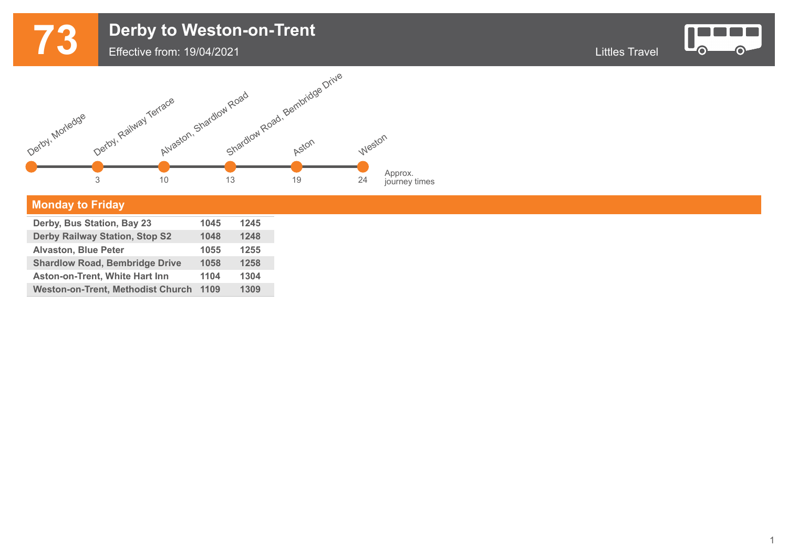## **73** Derby to Weston-on-Trent<br>
Effective from: 19/04/2021 Effective from: 19/04/2021



 $\bullet$ 



## **Monday to Friday**

г

| Derby, Bus Station, Bay 23               | 1045 | 1245 |  |
|------------------------------------------|------|------|--|
| <b>Derby Railway Station, Stop S2</b>    | 1048 | 1248 |  |
| <b>Alvaston, Blue Peter</b>              | 1055 | 1255 |  |
| <b>Shardlow Road, Bembridge Drive</b>    | 1058 | 1258 |  |
| <b>Aston-on-Trent, White Hart Inn</b>    | 1104 | 1304 |  |
| <b>Weston-on-Trent, Methodist Church</b> | 1109 | 1309 |  |